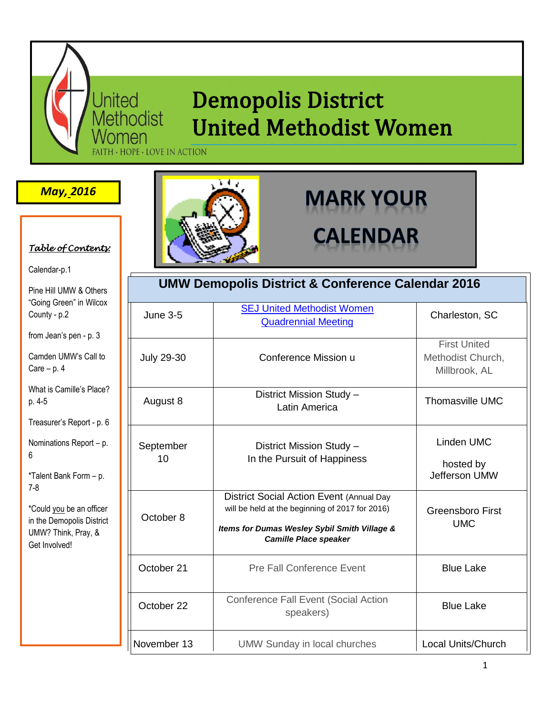# **Demopolis District United Methodist Women**

HOPE · LOVE IN ACTION

United<br>Methodist

### *May, 2016*



Calendar-p.1

Pine Hill UMW & Others "Going Green" in Wilcox County - p.2

from Jean's pen - p. 3

Camden UMW's Call to Care – p. 4

What is Camille's Place? p. 4-5

Treasurer's Report - p. 6

Nominations Report – p. 6

\*Talent Bank Form – p. 7-8

\*Could you be an officer in the Demopolis District UMW? Think, Pray, & Get Involved!



# **MARK YOUR CALENDAR**

| <b>UMW Demopolis District &amp; Conference Calendar 2016</b> |                                                                                                                                                                             |                                                           |
|--------------------------------------------------------------|-----------------------------------------------------------------------------------------------------------------------------------------------------------------------------|-----------------------------------------------------------|
| <b>June 3-5</b>                                              | <b>SEJ United Methodist Women</b><br><b>Quadrennial Meeting</b>                                                                                                             | Charleston, SC                                            |
| <b>July 29-30</b>                                            | Conference Mission u                                                                                                                                                        | <b>First United</b><br>Methodist Church,<br>Millbrook, AL |
| August 8                                                     | District Mission Study -<br>Latin America                                                                                                                                   | <b>Thomasville UMC</b>                                    |
| September<br>10                                              | District Mission Study -<br>In the Pursuit of Happiness                                                                                                                     | Linden UMC<br>hosted by<br>Jefferson UMW                  |
| October 8                                                    | District Social Action Event (Annual Day<br>will be held at the beginning of 2017 for 2016)<br>Items for Dumas Wesley Sybil Smith Village &<br><b>Camille Place speaker</b> | <b>Greensboro First</b><br><b>UMC</b>                     |
| October 21                                                   | <b>Pre Fall Conference Event</b>                                                                                                                                            | <b>Blue Lake</b>                                          |
| October 22                                                   | <b>Conference Fall Event (Social Action</b><br>speakers)                                                                                                                    | <b>Blue Lake</b>                                          |
| November 13                                                  | <b>UMW Sunday in local churches</b>                                                                                                                                         | <b>Local Units/Church</b>                                 |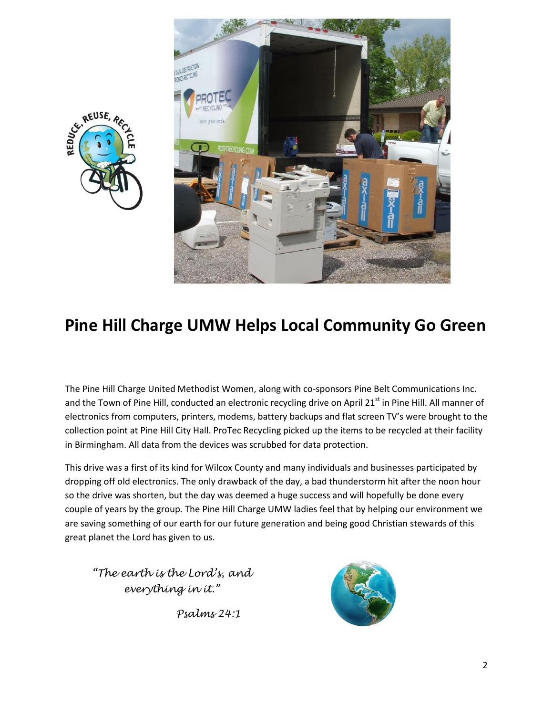



# **Pine Hill Charge UMW Helps Local Community Go Green**

The Pine Hill Charge United Methodist Women, along with co-sponsors Pine Belt Communications Inc. and the Town of Pine Hill, conducted an electronic recycling drive on April 21<sup>st</sup> in Pine Hill. All manner of electronics from computers, printers, modems, battery backups and flat screen TV's were brought to the collection point at Pine Hill City Hall. ProTec Recycling picked up the items to be recycled at their facility in Birmingham. All data from the devices was scrubbed for data protection.

This drive was a first of its kind for Wilcox County and many individuals and businesses participated by dropping off old electronics. The only drawback of the day, a bad thunderstorm hit after the noon hour so the drive was shorten, but the day was deemed a huge success and will hopefully be done every couple of years by the group. The Pine Hill Charge UMW ladies feel that by helping our environment we are saving something of our earth for our future generation and being good Christian stewards of this great planet the Lord has given to us.

*"The earth is the Lord's, and everything in it."*

 *Psalms 24:1*

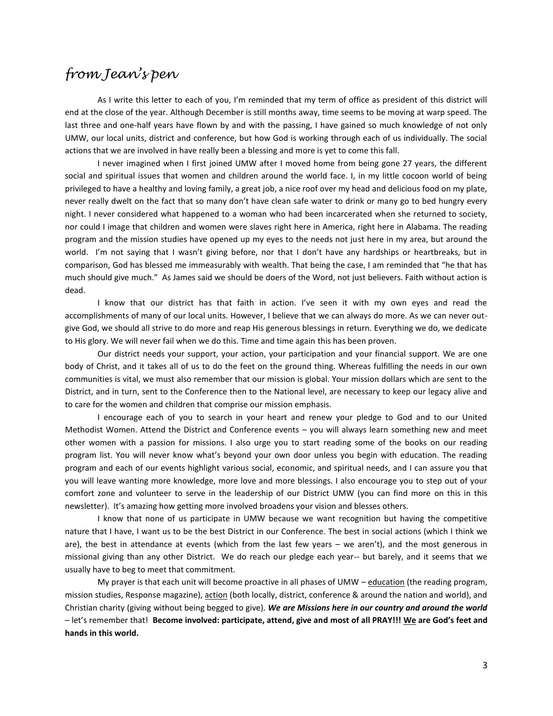## *from Jean's pen*

As I write this letter to each of you, I'm reminded that my term of office as president of this district will end at the close of the year. Although December is still months away, time seems to be moving at warp speed. The last three and one-half years have flown by and with the passing, I have gained so much knowledge of not only UMW, our local units, district and conference, but how God is working through each of us individually. The social actions that we are involved in have really been a blessing and more is yet to come this fall.

I never imagined when I first joined UMW after I moved home from being gone 27 years, the different social and spiritual issues that women and children around the world face. I, in my little cocoon world of being privileged to have a healthy and loving family, a great job, a nice roof over my head and delicious food on my plate, never really dwelt on the fact that so many don't have clean safe water to drink or many go to bed hungry every night. I never considered what happened to a woman who had been incarcerated when she returned to society, nor could I image that children and women were slaves right here in America, right here in Alabama. The reading program and the mission studies have opened up my eyes to the needs not just here in my area, but around the world. I'm not saying that I wasn't giving before, nor that I don't have any hardships or heartbreaks, but in comparison, God has blessed me immeasurably with wealth. That being the case, I am reminded that "he that has much should give much." As James said we should be doers of the Word, not just believers. Faith without action is dead.

I know that our district has that faith in action. I've seen it with my own eyes and read the accomplishments of many of our local units. However, I believe that we can always do more. As we can never outgive God, we should all strive to do more and reap His generous blessings in return. Everything we do, we dedicate to His glory. We will never fail when we do this. Time and time again this has been proven.

Our district needs your support, your action, your participation and your financial support. We are one body of Christ, and it takes all of us to do the feet on the ground thing. Whereas fulfilling the needs in our own communities is vital, we must also remember that our mission is global. Your mission dollars which are sent to the District, and in turn, sent to the Conference then to the National level, are necessary to keep our legacy alive and to care for the women and children that comprise our mission emphasis.

I encourage each of you to search in your heart and renew your pledge to God and to our United Methodist Women. Attend the District and Conference events – you will always learn something new and meet other women with a passion for missions. I also urge you to start reading some of the books on our reading program list. You will never know what's beyond your own door unless you begin with education. The reading program and each of our events highlight various social, economic, and spiritual needs, and I can assure you that you will leave wanting more knowledge, more love and more blessings. I also encourage you to step out of your comfort zone and volunteer to serve in the leadership of our District UMW (you can find more on this in this newsletter). It's amazing how getting more involved broadens your vision and blesses others.

I know that none of us participate in UMW because we want recognition but having the competitive nature that I have, I want us to be the best District in our Conference. The best in social actions (which I think we are), the best in attendance at events (which from the last few years – we aren't), and the most generous in missional giving than any other District. We do reach our pledge each year-- but barely, and it seems that we usually have to beg to meet that commitment.

My prayer is that each unit will become proactive in all phases of UMW – education (the reading program, mission studies, Response magazine), action (both locally, district, conference & around the nation and world), and Christian charity (giving without being begged to give). *We are Missions here in our country and around the world* – let's remember that! **Become involved: participate, attend, give and most of all PRAY!!! We are God's feet and hands in this world.**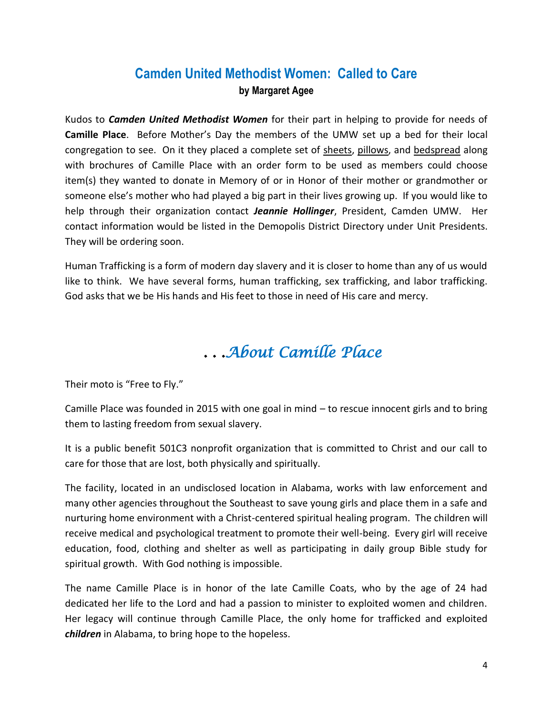### **Camden United Methodist Women: Called to Care by Margaret Agee**

Kudos to *Camden United Methodist Women* for their part in helping to provide for needs of **Camille Place**. Before Mother's Day the members of the UMW set up a bed for their local congregation to see. On it they placed a complete set of sheets, pillows, and bedspread along with brochures of Camille Place with an order form to be used as members could choose item(s) they wanted to donate in Memory of or in Honor of their mother or grandmother or someone else's mother who had played a big part in their lives growing up. If you would like to help through their organization contact *Jeannie Hollinger*, President, Camden UMW. Her contact information would be listed in the Demopolis District Directory under Unit Presidents. They will be ordering soon.

Human Trafficking is a form of modern day slavery and it is closer to home than any of us would like to think. We have several forms, human trafficking, sex trafficking, and labor trafficking. God asks that we be His hands and His feet to those in need of His care and mercy.

# *. . .About Camille Place*

Their moto is "Free to Fly."

Camille Place was founded in 2015 with one goal in mind – to rescue innocent girls and to bring them to lasting freedom from sexual slavery.

It is a public benefit 501C3 nonprofit organization that is committed to Christ and our call to care for those that are lost, both physically and spiritually.

The facility, located in an undisclosed location in Alabama, works with law enforcement and many other agencies throughout the Southeast to save young girls and place them in a safe and nurturing home environment with a Christ-centered spiritual healing program. The children will receive medical and psychological treatment to promote their well-being. Every girl will receive education, food, clothing and shelter as well as participating in daily group Bible study for spiritual growth. With God nothing is impossible.

The name Camille Place is in honor of the late Camille Coats, who by the age of 24 had dedicated her life to the Lord and had a passion to minister to exploited women and children. Her legacy will continue through Camille Place, the only home for trafficked and exploited *children* in Alabama, to bring hope to the hopeless.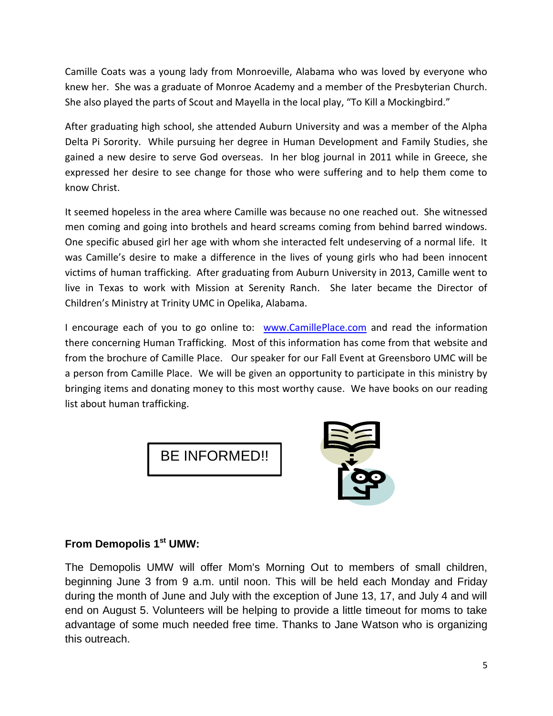Camille Coats was a young lady from Monroeville, Alabama who was loved by everyone who knew her. She was a graduate of Monroe Academy and a member of the Presbyterian Church. She also played the parts of Scout and Mayella in the local play, "To Kill a Mockingbird."

After graduating high school, she attended Auburn University and was a member of the Alpha Delta Pi Sorority. While pursuing her degree in Human Development and Family Studies, she gained a new desire to serve God overseas. In her blog journal in 2011 while in Greece, she expressed her desire to see change for those who were suffering and to help them come to know Christ.

It seemed hopeless in the area where Camille was because no one reached out. She witnessed men coming and going into brothels and heard screams coming from behind barred windows. One specific abused girl her age with whom she interacted felt undeserving of a normal life. It was Camille's desire to make a difference in the lives of young girls who had been innocent victims of human trafficking. After graduating from Auburn University in 2013, Camille went to live in Texas to work with Mission at Serenity Ranch. She later became the Director of Children's Ministry at Trinity UMC in Opelika, Alabama.

I encourage each of you to go online to: www.CamillePlace.com and read the information there concerning Human Trafficking. Most of this information has come from that website and from the brochure of Camille Place. Our speaker for our Fall Event at Greensboro UMC will be a person from Camille Place. We will be given an opportunity to participate in this ministry by bringing items and donating money to this most worthy cause. We have books on our reading list about human trafficking.





### **From Demopolis 1st UMW:**

The Demopolis UMW will offer Mom's Morning Out to members of small children, beginning June 3 from 9 a.m. until noon. This will be held each Monday and Friday during the month of June and July with the exception of June 13, 17, and July 4 and will end on August 5. Volunteers will be helping to provide a little timeout for moms to take advantage of some much needed free time. Thanks to Jane Watson who is organizing this outreach.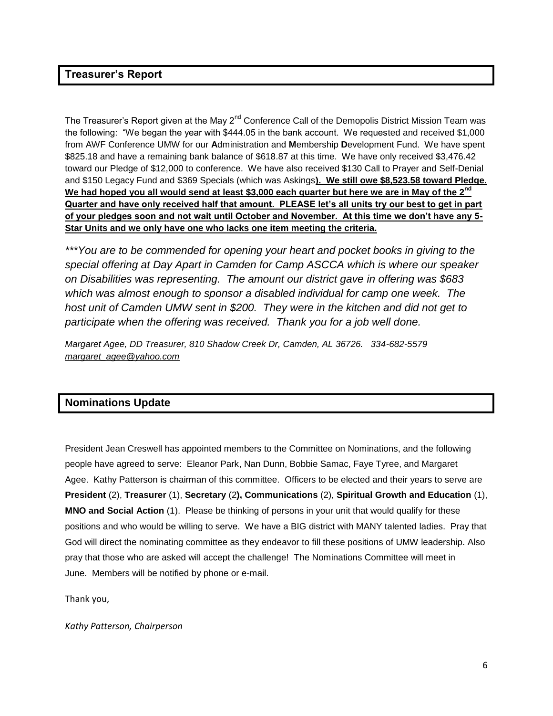#### **Treasurer's Report**

The Treasurer's Report given at the May 2<sup>nd</sup> Conference Call of the Demopolis District Mission Team was the following: "We began the year with \$444.05 in the bank account. We requested and received \$1,000 from AWF Conference UMW for our **A**dministration and **M**embership **D**evelopment Fund. We have spent \$825.18 and have a remaining bank balance of \$618.87 at this time. We have only received \$3,476.42 toward our Pledge of \$12,000 to conference. We have also received \$130 Call to Prayer and Self-Denial and \$150 Legacy Fund and \$369 Specials (which was Askings**). We still owe \$8,523.58 toward Pledge. We had hoped you all would send at least \$3,000 each quarter but here we are in May of the 2nd Quarter and have only received half that amount. PLEASE let's all units try our best to get in part of your pledges soon and not wait until October and November. At this time we don't have any 5- Star Units and we only have one who lacks one item meeting the criteria.** 

*\*\*\*You are to be commended for opening your heart and pocket books in giving to the special offering at Day Apart in Camden for Camp ASCCA which is where our speaker on Disabilities was representing. The amount our district gave in offering was \$683 which was almost enough to sponsor a disabled individual for camp one week. The host unit of Camden UMW sent in \$200. They were in the kitchen and did not get to participate when the offering was received. Thank you for a job well done.* 

*Margaret Agee, DD Treasurer, 810 Shadow Creek Dr, Camden, AL 36726. 334-682-5579 margaret\_agee@yahoo.com*

### **Nominations Update**

President Jean Creswell has appointed members to the Committee on Nominations, and the following people have agreed to serve: Eleanor Park, Nan Dunn, Bobbie Samac, Faye Tyree, and Margaret Agee. Kathy Patterson is chairman of this committee. Officers to be elected and their years to serve are **President** (2), **Treasurer** (1), **Secretary** (2**), Communications** (2), **Spiritual Growth and Education** (1), **MNO and Social Action** (1). Please be thinking of persons in your unit that would qualify for these positions and who would be willing to serve. We have a BIG district with MANY talented ladies. Pray that God will direct the nominating committee as they endeavor to fill these positions of UMW leadership. Also pray that those who are asked will accept the challenge! The Nominations Committee will meet in June. Members will be notified by phone or e-mail.

Thank you,

*Kathy Patterson, Chairperson*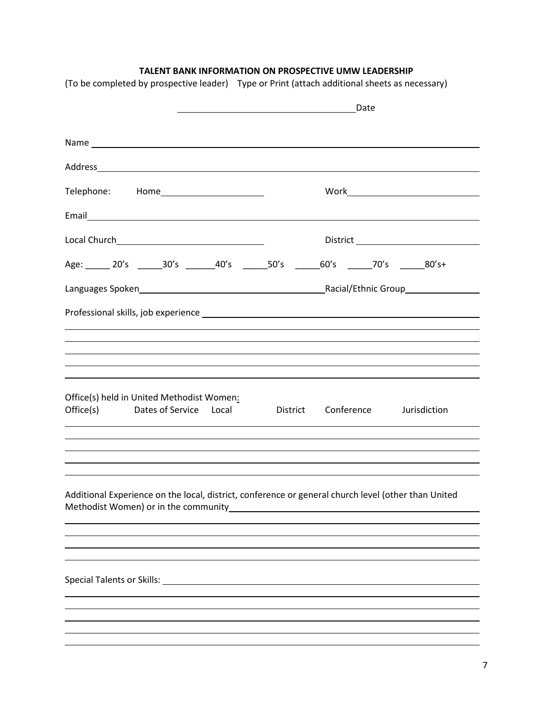### **TALENT BANK INFORMATION ON PROSPECTIVE UMW LEADERSHIP**

|                                                                                                                                                                                                                                       | Date |  |  |  |
|---------------------------------------------------------------------------------------------------------------------------------------------------------------------------------------------------------------------------------------|------|--|--|--|
|                                                                                                                                                                                                                                       |      |  |  |  |
|                                                                                                                                                                                                                                       |      |  |  |  |
|                                                                                                                                                                                                                                       |      |  |  |  |
| Telephone: Home______________________                                                                                                                                                                                                 |      |  |  |  |
| Email <u>leur and a state of the state of the state of the state of the state of the state of the state of the state of the state of the state of the state of the state of the state of the state of the state of the state of t</u> |      |  |  |  |
|                                                                                                                                                                                                                                       |      |  |  |  |
|                                                                                                                                                                                                                                       |      |  |  |  |
| Languages Spoken Languages Spoken Languages Spoken Languages Spoken Languages Spoken Languages Spoken Language                                                                                                                        |      |  |  |  |
|                                                                                                                                                                                                                                       |      |  |  |  |
|                                                                                                                                                                                                                                       |      |  |  |  |
|                                                                                                                                                                                                                                       |      |  |  |  |
|                                                                                                                                                                                                                                       |      |  |  |  |
|                                                                                                                                                                                                                                       |      |  |  |  |
| Office(s) held in United Methodist Women:<br>Dates of Service Local District Conference Jurisdiction<br>Office(s)                                                                                                                     |      |  |  |  |
| the control of the control of the control of the control of the control of the control of the control of the control of the control of the control of the control of the control of the control of the control of the control         |      |  |  |  |
|                                                                                                                                                                                                                                       |      |  |  |  |
|                                                                                                                                                                                                                                       |      |  |  |  |
|                                                                                                                                                                                                                                       |      |  |  |  |
| Additional Experience on the local, district, conference or general church level (other than United<br>Methodist Women) or in the community                                                                                           |      |  |  |  |
|                                                                                                                                                                                                                                       |      |  |  |  |
|                                                                                                                                                                                                                                       |      |  |  |  |
|                                                                                                                                                                                                                                       |      |  |  |  |
|                                                                                                                                                                                                                                       |      |  |  |  |
|                                                                                                                                                                                                                                       |      |  |  |  |
|                                                                                                                                                                                                                                       |      |  |  |  |
|                                                                                                                                                                                                                                       |      |  |  |  |
|                                                                                                                                                                                                                                       |      |  |  |  |

(To be completed by prospective leader) Type or Print (attach additional sheets as necessary)